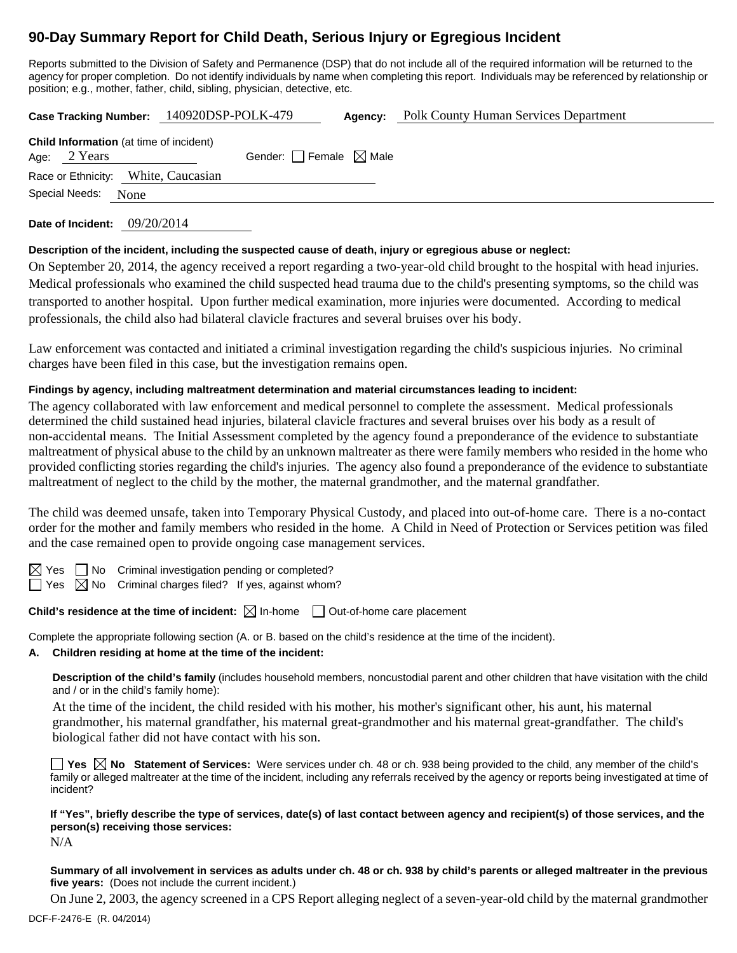# **90-Day Summary Report for Child Death, Serious Injury or Egregious Incident**

Reports submitted to the Division of Safety and Permanence (DSP) that do not include all of the required information will be returned to the agency for proper completion. Do not identify individuals by name when completing this report. Individuals may be referenced by relationship or position; e.g., mother, father, child, sibling, physician, detective, etc.

**Case Tracking Number:** 140920DSP-POLK-479 **Agency:** Polk County Human Services Department

**Date of Incident:** 09/20/2014

# **Description of the incident, including the suspected cause of death, injury or egregious abuse or neglect:**

On September 20, 2014, the agency received a report regarding a two-year-old child brought to the hospital with head injuries. Medical professionals who examined the child suspected head trauma due to the child's presenting symptoms, so the child was transported to another hospital. Upon further medical examination, more injuries were documented. According to medical professionals, the child also had bilateral clavicle fractures and several bruises over his body.

Law enforcement was contacted and initiated a criminal investigation regarding the child's suspicious injuries. No criminal charges have been filed in this case, but the investigation remains open.

# **Findings by agency, including maltreatment determination and material circumstances leading to incident:**

The agency collaborated with law enforcement and medical personnel to complete the assessment. Medical professionals determined the child sustained head injuries, bilateral clavicle fractures and several bruises over his body as a result of non-accidental means. The Initial Assessment completed by the agency found a preponderance of the evidence to substantiate maltreatment of physical abuse to the child by an unknown maltreater as there were family members who resided in the home who provided conflicting stories regarding the child's injuries. The agency also found a preponderance of the evidence to substantiate maltreatment of neglect to the child by the mother, the maternal grandmother, and the maternal grandfather.

The child was deemed unsafe, taken into Temporary Physical Custody, and placed into out-of-home care. There is a no-contact order for the mother and family members who resided in the home. A Child in Need of Protection or Services petition was filed and the case remained open to provide ongoing case management services.

 $\Box$  No Criminal investigation pending or completed?

 $\Box$  Yes  $\boxtimes$  No Criminal charges filed? If yes, against whom?

# **Child's residence at the time of incident:**  $\boxtimes$  In-home  $\Box$  Out-of-home care placement

Complete the appropriate following section (A. or B. based on the child's residence at the time of the incident).

# **A. Children residing at home at the time of the incident:**

**Description of the child's family** (includes household members, noncustodial parent and other children that have visitation with the child and / or in the child's family home):

 At the time of the incident, the child resided with his mother, his mother's significant other, his aunt, his maternal grandmother, his maternal grandfather, his maternal great-grandmother and his maternal great-grandfather. The child's biological father did not have contact with his son.

**Yes No Statement of Services:** Were services under ch. 48 or ch. 938 being provided to the child, any member of the child's family or alleged maltreater at the time of the incident, including any referrals received by the agency or reports being investigated at time of incident?

**If "Yes", briefly describe the type of services, date(s) of last contact between agency and recipient(s) of those services, and the person(s) receiving those services:** 

N/A

**Summary of all involvement in services as adults under ch. 48 or ch. 938 by child's parents or alleged maltreater in the previous five years:** (Does not include the current incident.)

On June 2, 2003, the agency screened in a CPS Report alleging neglect of a seven-year-old child by the maternal grandmother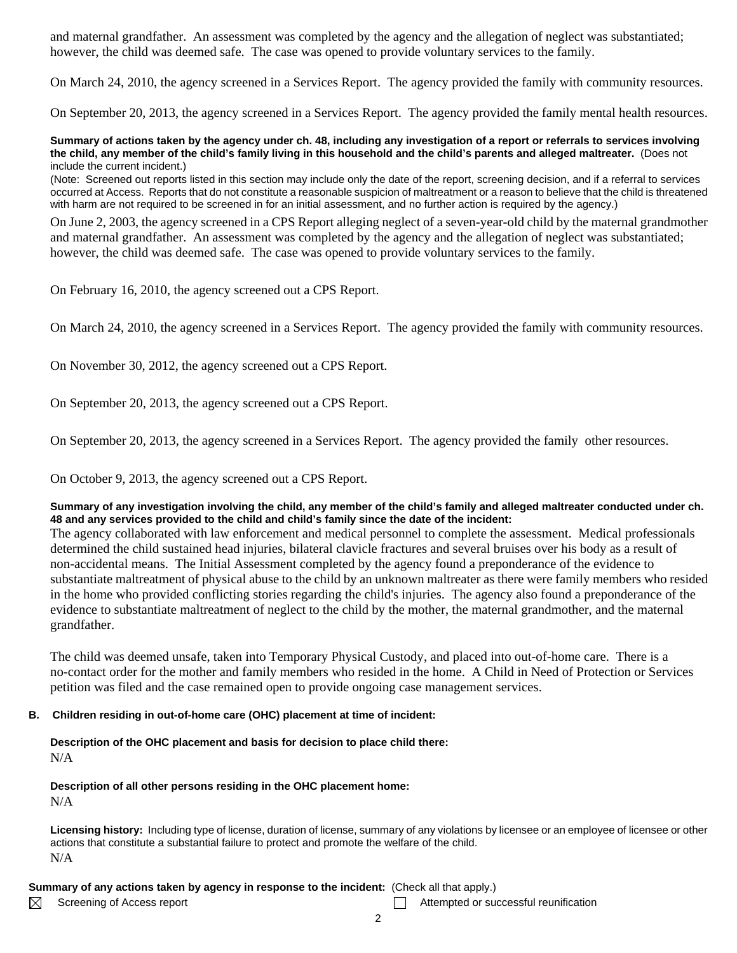and maternal grandfather. An assessment was completed by the agency and the allegation of neglect was substantiated; however, the child was deemed safe. The case was opened to provide voluntary services to the family.

On March 24, 2010, the agency screened in a Services Report. The agency provided the family with community resources.

On September 20, 2013, the agency screened in a Services Report. The agency provided the family mental health resources.

#### **Summary of actions taken by the agency under ch. 48, including any investigation of a report or referrals to services involving the child, any member of the child's family living in this household and the child's parents and alleged maltreater.** (Does not include the current incident.)

(Note: Screened out reports listed in this section may include only the date of the report, screening decision, and if a referral to services occurred at Access. Reports that do not constitute a reasonable suspicion of maltreatment or a reason to believe that the child is threatened with harm are not required to be screened in for an initial assessment, and no further action is required by the agency.)

On June 2, 2003, the agency screened in a CPS Report alleging neglect of a seven-year-old child by the maternal grandmother and maternal grandfather. An assessment was completed by the agency and the allegation of neglect was substantiated; however, the child was deemed safe. The case was opened to provide voluntary services to the family.

On February 16, 2010, the agency screened out a CPS Report.

On March 24, 2010, the agency screened in a Services Report. The agency provided the family with community resources.

On November 30, 2012, the agency screened out a CPS Report.

On September 20, 2013, the agency screened out a CPS Report.

On September 20, 2013, the agency screened in a Services Report. The agency provided the family other resources.

On October 9, 2013, the agency screened out a CPS Report.

## **Summary of any investigation involving the child, any member of the child's family and alleged maltreater conducted under ch. 48 and any services provided to the child and child's family since the date of the incident:**

The agency collaborated with law enforcement and medical personnel to complete the assessment. Medical professionals determined the child sustained head injuries, bilateral clavicle fractures and several bruises over his body as a result of non-accidental means. The Initial Assessment completed by the agency found a preponderance of the evidence to substantiate maltreatment of physical abuse to the child by an unknown maltreater as there were family members who resided in the home who provided conflicting stories regarding the child's injuries. The agency also found a preponderance of the evidence to substantiate maltreatment of neglect to the child by the mother, the maternal grandmother, and the maternal grandfather.

The child was deemed unsafe, taken into Temporary Physical Custody, and placed into out-of-home care. There is a no-contact order for the mother and family members who resided in the home. A Child in Need of Protection or Services petition was filed and the case remained open to provide ongoing case management services.

## **B. Children residing in out-of-home care (OHC) placement at time of incident:**

**Description of the OHC placement and basis for decision to place child there:** N/A

**Description of all other persons residing in the OHC placement home:** N/A

**Licensing history:** Including type of license, duration of license, summary of any violations by licensee or an employee of licensee or other actions that constitute a substantial failure to protect and promote the welfare of the child. N/A

## **Summary of any actions taken by agency in response to the incident:** (Check all that apply.)

 $\boxtimes$ 

Screening of Access report Attempted or successful reunification